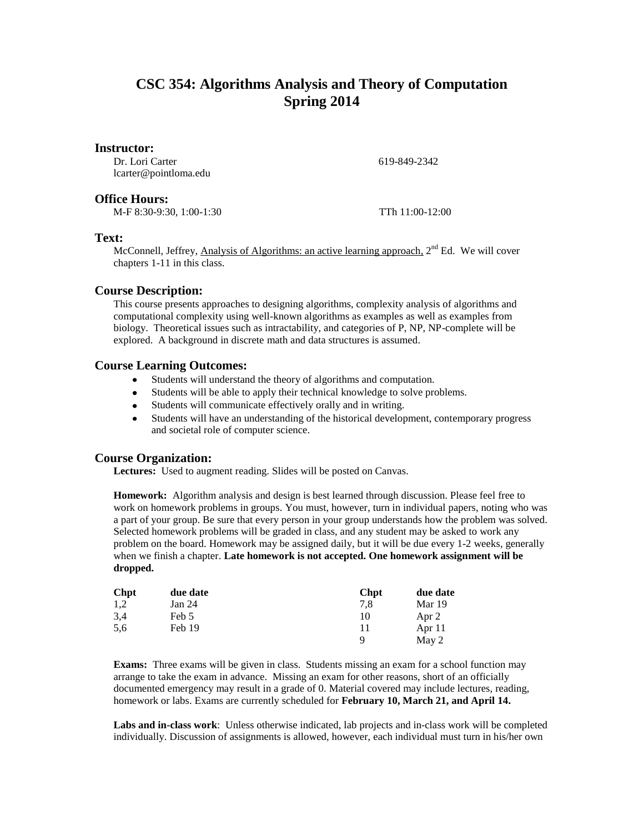# **CSC 354: Algorithms Analysis and Theory of Computation Spring 2014**

### **Instructor:**

Dr. Lori Carter lcarter@pointloma.edu

**Office Hours:**

M-F 8:30-9:30, 1:00-1:30 TTh 11:00-12:00

619-849-2342

### **Text:**

McConnell, Jeffrey, Analysis of Algorithms: an active learning approach, 2<sup>nd</sup> Ed. We will cover chapters 1-11 in this class.

## **Course Description:**

This course presents approaches to designing algorithms, complexity analysis of algorithms and computational complexity using well-known algorithms as examples as well as examples from biology. Theoretical issues such as intractability, and categories of P, NP, NP-complete will be explored. A background in discrete math and data structures is assumed.

## **Course Learning Outcomes:**

- Students will understand the theory of algorithms and computation.  $\bullet$
- Students will be able to apply their technical knowledge to solve problems.  $\bullet$
- Students will communicate effectively orally and in writing.  $\bullet$
- $\bullet$ Students will have an understanding of the historical development, contemporary progress and societal role of computer science.

## **Course Organization:**

**Lectures:** Used to augment reading. Slides will be posted on Canvas.

**Homework:** Algorithm analysis and design is best learned through discussion. Please feel free to work on homework problems in groups. You must, however, turn in individual papers, noting who was a part of your group. Be sure that every person in your group understands how the problem was solved. Selected homework problems will be graded in class, and any student may be asked to work any problem on the board. Homework may be assigned daily, but it will be due every 1-2 weeks, generally when we finish a chapter. **Late homework is not accepted. One homework assignment will be dropped.**

| <b>Chpt</b> | due date | <b>Chpt</b> | due date |
|-------------|----------|-------------|----------|
| 1,2         | Jan 24   | 7.8         | Mar 19   |
| 3.4         | Feb 5    | 10          | Apr 2    |
| 5,6         | Feb 19   | 11          | Apr $11$ |
|             |          | Q           | May 2    |

**Exams:** Three exams will be given in class. Students missing an exam for a school function may arrange to take the exam in advance. Missing an exam for other reasons, short of an officially documented emergency may result in a grade of 0. Material covered may include lectures, reading, homework or labs. Exams are currently scheduled for **February 10, March 21, and April 14.**

**Labs and in-class work**: Unless otherwise indicated, lab projects and in-class work will be completed individually. Discussion of assignments is allowed, however, each individual must turn in his/her own